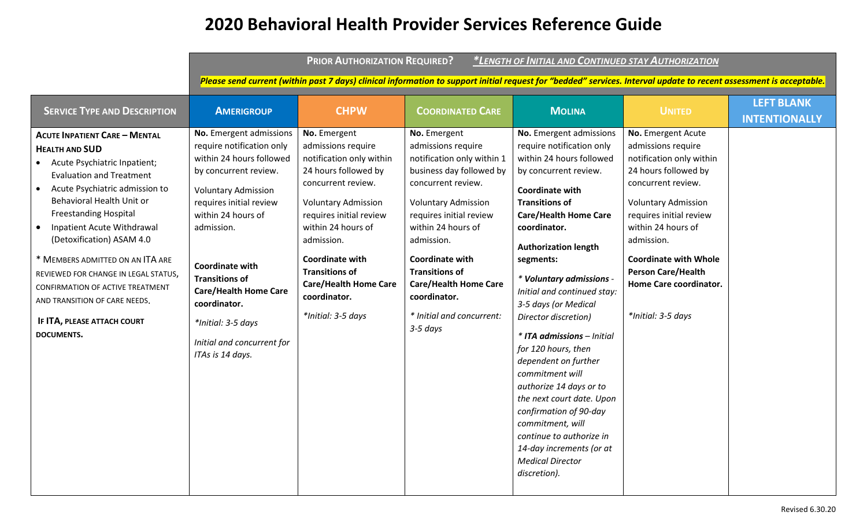|                                                                                                                                                                                                                                                                                                                                                                                                                                                                                                 | <b>PRIOR AUTHORIZATION REQUIRED?</b><br>*LENGTH OF INITIAL AND CONTINUED STAY AUTHORIZATION<br>Please send current (within past 7 days) clinical information to support initial request for "bedded" services. Interval update to recent assessment is acceptable.                                                                                                         |                                                                                                                                                                                                                                                                                                                                    |                                                                                                                                                                                                                                                                                                                                                               |                                                                                                                                                                                                                                                                                                                                                                                                                                                                                                                                                                                                                                                                              |                                                                                                                                                                                                                                                                                                                              |                                           |
|-------------------------------------------------------------------------------------------------------------------------------------------------------------------------------------------------------------------------------------------------------------------------------------------------------------------------------------------------------------------------------------------------------------------------------------------------------------------------------------------------|----------------------------------------------------------------------------------------------------------------------------------------------------------------------------------------------------------------------------------------------------------------------------------------------------------------------------------------------------------------------------|------------------------------------------------------------------------------------------------------------------------------------------------------------------------------------------------------------------------------------------------------------------------------------------------------------------------------------|---------------------------------------------------------------------------------------------------------------------------------------------------------------------------------------------------------------------------------------------------------------------------------------------------------------------------------------------------------------|------------------------------------------------------------------------------------------------------------------------------------------------------------------------------------------------------------------------------------------------------------------------------------------------------------------------------------------------------------------------------------------------------------------------------------------------------------------------------------------------------------------------------------------------------------------------------------------------------------------------------------------------------------------------------|------------------------------------------------------------------------------------------------------------------------------------------------------------------------------------------------------------------------------------------------------------------------------------------------------------------------------|-------------------------------------------|
| <b>SERVICE TYPE AND DESCRIPTION</b>                                                                                                                                                                                                                                                                                                                                                                                                                                                             | <b>AMERIGROUP</b>                                                                                                                                                                                                                                                                                                                                                          | <b>CHPW</b>                                                                                                                                                                                                                                                                                                                        | <b>COORDINATED CARE</b>                                                                                                                                                                                                                                                                                                                                       | <b>MOLINA</b>                                                                                                                                                                                                                                                                                                                                                                                                                                                                                                                                                                                                                                                                | <b>UNITED</b>                                                                                                                                                                                                                                                                                                                | <b>LEFT BLANK</b><br><b>INTENTIONALLY</b> |
| <b>ACUTE INPATIENT CARE - MENTAL</b><br><b>HEALTH AND SUD</b><br>Acute Psychiatric Inpatient;<br><b>Evaluation and Treatment</b><br>Acute Psychiatric admission to<br>Behavioral Health Unit or<br><b>Freestanding Hospital</b><br>Inpatient Acute Withdrawal<br>(Detoxification) ASAM 4.0<br>* MEMBERS ADMITTED ON AN ITA ARE<br>REVIEWED FOR CHANGE IN LEGAL STATUS,<br>CONFIRMATION OF ACTIVE TREATMENT<br>AND TRANSITION OF CARE NEEDS.<br>IF ITA, PLEASE ATTACH COURT<br><b>DOCUMENTS.</b> | No. Emergent admissions<br>require notification only<br>within 24 hours followed<br>by concurrent review.<br><b>Voluntary Admission</b><br>requires initial review<br>within 24 hours of<br>admission.<br>Coordinate with<br><b>Transitions of</b><br><b>Care/Health Home Care</b><br>coordinator.<br>*Initial: 3-5 days<br>Initial and concurrent for<br>ITAs is 14 days. | No. Emergent<br>admissions require<br>notification only within<br>24 hours followed by<br>concurrent review.<br><b>Voluntary Admission</b><br>requires initial review<br>within 24 hours of<br>admission.<br><b>Coordinate with</b><br><b>Transitions of</b><br><b>Care/Health Home Care</b><br>coordinator.<br>*Initial: 3-5 days | No. Emergent<br>admissions require<br>notification only within 1<br>business day followed by<br>concurrent review.<br><b>Voluntary Admission</b><br>requires initial review<br>within 24 hours of<br>admission.<br><b>Coordinate with</b><br><b>Transitions of</b><br><b>Care/Health Home Care</b><br>coordinator.<br>* Initial and concurrent:<br>$3-5$ days | No. Emergent admissions<br>require notification only<br>within 24 hours followed<br>by concurrent review.<br><b>Coordinate with</b><br><b>Transitions of</b><br><b>Care/Health Home Care</b><br>coordinator.<br><b>Authorization length</b><br>segments:<br>* Voluntary admissions -<br>Initial and continued stay:<br>3-5 days (or Medical<br>Director discretion)<br>* ITA admissions - Initial<br>for 120 hours, then<br>dependent on further<br>commitment will<br>authorize 14 days or to<br>the next court date. Upon<br>confirmation of 90-day<br>commitment, will<br>continue to authorize in<br>14-day increments (or at<br><b>Medical Director</b><br>discretion). | No. Emergent Acute<br>admissions require<br>notification only within<br>24 hours followed by<br>concurrent review.<br><b>Voluntary Admission</b><br>requires initial review<br>within 24 hours of<br>admission.<br><b>Coordinate with Whole</b><br><b>Person Care/Health</b><br>Home Care coordinator.<br>*Initial: 3-5 days |                                           |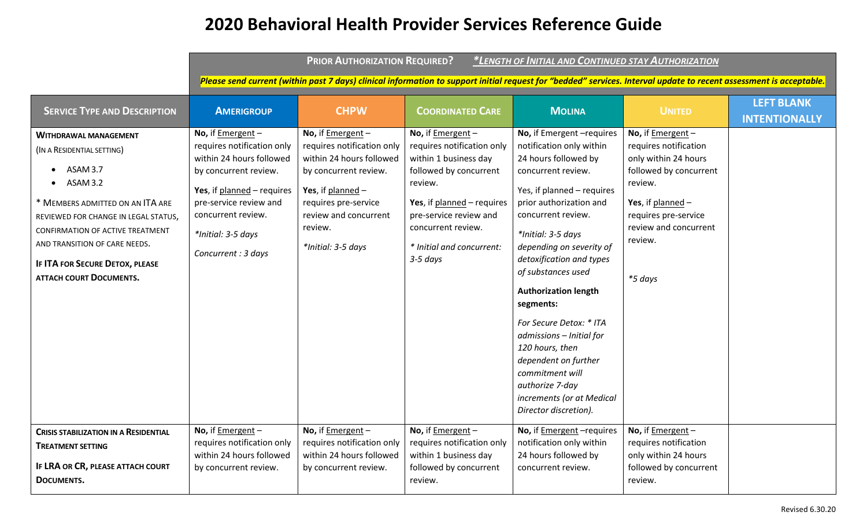|                                                                                                                                                                                                                                                                                                          | <b>PRIOR AUTHORIZATION REQUIRED?</b><br>*LENGTH OF INITIAL AND CONTINUED STAY AUTHORIZATION                                                                                                                                            |                                                                                                                                                                                                                 |                                                                                                                                                                                                                                        |                                                                                                                                                                                                                                                                                                                                                                                                                                                                                                                                  |                                                                                                                                                                                                       |                                           |  |
|----------------------------------------------------------------------------------------------------------------------------------------------------------------------------------------------------------------------------------------------------------------------------------------------------------|----------------------------------------------------------------------------------------------------------------------------------------------------------------------------------------------------------------------------------------|-----------------------------------------------------------------------------------------------------------------------------------------------------------------------------------------------------------------|----------------------------------------------------------------------------------------------------------------------------------------------------------------------------------------------------------------------------------------|----------------------------------------------------------------------------------------------------------------------------------------------------------------------------------------------------------------------------------------------------------------------------------------------------------------------------------------------------------------------------------------------------------------------------------------------------------------------------------------------------------------------------------|-------------------------------------------------------------------------------------------------------------------------------------------------------------------------------------------------------|-------------------------------------------|--|
|                                                                                                                                                                                                                                                                                                          |                                                                                                                                                                                                                                        |                                                                                                                                                                                                                 |                                                                                                                                                                                                                                        | Please send current (within past 7 days) clinical information to support initial request for "bedded" services. Interval update to recent assessment is acceptable.                                                                                                                                                                                                                                                                                                                                                              |                                                                                                                                                                                                       |                                           |  |
| <b>SERVICE TYPE AND DESCRIPTION</b>                                                                                                                                                                                                                                                                      | <b>AMERIGROUP</b>                                                                                                                                                                                                                      | <b>CHPW</b>                                                                                                                                                                                                     | <b>COORDINATED CARE</b>                                                                                                                                                                                                                | <b>MOLINA</b>                                                                                                                                                                                                                                                                                                                                                                                                                                                                                                                    | <b>UNITED</b>                                                                                                                                                                                         | <b>LEFT BLANK</b><br><b>INTENTIONALLY</b> |  |
| WITHDRAWAL MANAGEMENT<br>(IN A RESIDENTIAL SETTING)<br>ASAM 3.7<br>ASAM 3.2<br>* MEMBERS ADMITTED ON AN ITA ARE<br>REVIEWED FOR CHANGE IN LEGAL STATUS,<br><b>CONFIRMATION OF ACTIVE TREATMENT</b><br>AND TRANSITION OF CARE NEEDS.<br>IF ITA FOR SECURE DETOX, PLEASE<br><b>ATTACH COURT DOCUMENTS.</b> | No, if <b>Emergent</b> -<br>requires notification only<br>within 24 hours followed<br>by concurrent review.<br>Yes, if planned - requires<br>pre-service review and<br>concurrent review.<br>*Initial: 3-5 days<br>Concurrent : 3 days | No, if $Emergent$ -<br>requires notification only<br>within 24 hours followed<br>by concurrent review.<br>Yes, if planned $-$<br>requires pre-service<br>review and concurrent<br>review.<br>*Initial: 3-5 days | No, if Emergent -<br>requires notification only<br>within 1 business day<br>followed by concurrent<br>review.<br>Yes, if planned - requires<br>pre-service review and<br>concurrent review.<br>* Initial and concurrent:<br>$3-5$ days | No, if Emergent -requires<br>notification only within<br>24 hours followed by<br>concurrent review.<br>Yes, if planned - requires<br>prior authorization and<br>concurrent review.<br>*Initial: 3-5 days<br>depending on severity of<br>detoxification and types<br>of substances used<br><b>Authorization length</b><br>segments:<br>For Secure Detox: * ITA<br>admissions - Initial for<br>120 hours, then<br>dependent on further<br>commitment will<br>authorize 7-day<br>increments (or at Medical<br>Director discretion). | No, if Emergent -<br>requires notification<br>only within 24 hours<br>followed by concurrent<br>review.<br>Yes, if planned $-$<br>requires pre-service<br>review and concurrent<br>review.<br>*5 days |                                           |  |
| <b>CRISIS STABILIZATION IN A RESIDENTIAL</b><br><b>TREATMENT SETTING</b><br>IF LRA OR CR, PLEASE ATTACH COURT<br><b>DOCUMENTS.</b>                                                                                                                                                                       | No, if Emergent $-$<br>requires notification only<br>within 24 hours followed<br>by concurrent review.                                                                                                                                 | No, if Emergent $-$<br>requires notification only<br>within 24 hours followed<br>by concurrent review.                                                                                                          | No, if Emergent $-$<br>requires notification only<br>within 1 business day<br>followed by concurrent<br>review.                                                                                                                        | No, if <b>Emergent</b> -requires<br>notification only within<br>24 hours followed by<br>concurrent review.                                                                                                                                                                                                                                                                                                                                                                                                                       | No, if Emergent -<br>requires notification<br>only within 24 hours<br>followed by concurrent<br>review.                                                                                               |                                           |  |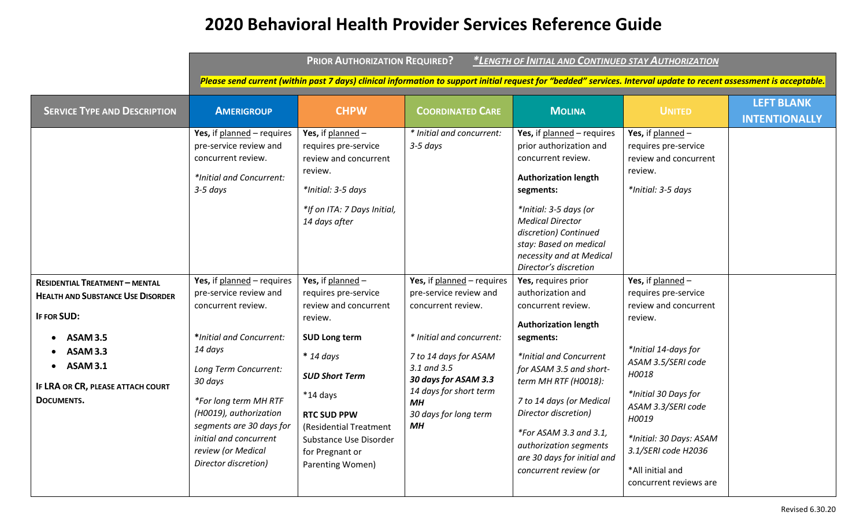|                                                                                                                                                                                                                            | <b>PRIOR AUTHORIZATION REQUIRED?</b><br>*LENGTH OF INITIAL AND CONTINUED STAY AUTHORIZATION                                                                                                                                                                                                                                                                  |                                                                                                                                                                                                                                                                                                                                                                      |                                                                                                                                                                                                                                                                                                 |                                                                                                                                                                                                                                                                                                                                                                                                                                                                                                                                      |                                                                                                                                                                                                                                                                                                      |                                           |  |
|----------------------------------------------------------------------------------------------------------------------------------------------------------------------------------------------------------------------------|--------------------------------------------------------------------------------------------------------------------------------------------------------------------------------------------------------------------------------------------------------------------------------------------------------------------------------------------------------------|----------------------------------------------------------------------------------------------------------------------------------------------------------------------------------------------------------------------------------------------------------------------------------------------------------------------------------------------------------------------|-------------------------------------------------------------------------------------------------------------------------------------------------------------------------------------------------------------------------------------------------------------------------------------------------|--------------------------------------------------------------------------------------------------------------------------------------------------------------------------------------------------------------------------------------------------------------------------------------------------------------------------------------------------------------------------------------------------------------------------------------------------------------------------------------------------------------------------------------|------------------------------------------------------------------------------------------------------------------------------------------------------------------------------------------------------------------------------------------------------------------------------------------------------|-------------------------------------------|--|
|                                                                                                                                                                                                                            |                                                                                                                                                                                                                                                                                                                                                              |                                                                                                                                                                                                                                                                                                                                                                      |                                                                                                                                                                                                                                                                                                 | Please send current (within past 7 days) clinical information to support initial request for "bedded" services. Interval update to recent assessment is acceptable.                                                                                                                                                                                                                                                                                                                                                                  |                                                                                                                                                                                                                                                                                                      |                                           |  |
| <b>SERVICE TYPE AND DESCRIPTION</b>                                                                                                                                                                                        | <b>AMERIGROUP</b>                                                                                                                                                                                                                                                                                                                                            | <b>CHPW</b>                                                                                                                                                                                                                                                                                                                                                          | <b>COORDINATED CARE</b>                                                                                                                                                                                                                                                                         | <b>MOLINA</b>                                                                                                                                                                                                                                                                                                                                                                                                                                                                                                                        | <b>UNITED</b>                                                                                                                                                                                                                                                                                        | <b>LEFT BLANK</b><br><b>INTENTIONALLY</b> |  |
| <b>RESIDENTIAL TREATMENT - MENTAL</b><br><b>HEALTH AND SUBSTANCE USE DISORDER</b><br><b>IF FOR SUD:</b><br><b>ASAM 3.5</b><br><b>ASAM 3.3</b><br><b>ASAM 3.1</b><br>IF LRA OR CR, PLEASE ATTACH COURT<br><b>DOCUMENTS.</b> | Yes, if planned - requires<br>pre-service review and<br>concurrent review.<br>*Initial and Concurrent:<br>$3-5$ days<br>Yes, if planned - requires<br>pre-service review and<br>concurrent review.<br>*Initial and Concurrent:<br>14 days<br>Long Term Concurrent:<br>30 days<br>*For long term MH RTF<br>(H0019), authorization<br>segments are 30 days for | Yes, if planned -<br>requires pre-service<br>review and concurrent<br>review.<br>*Initial: 3-5 days<br>*If on ITA: 7 Days Initial,<br>14 days after<br>Yes, if planned $-$<br>requires pre-service<br>review and concurrent<br>review.<br><b>SUD Long term</b><br>$*$ 14 days<br><b>SUD Short Term</b><br>$*14$ days<br><b>RTC SUD PPW</b><br>(Residential Treatment | * Initial and concurrent:<br>$3-5$ days<br>Yes, if planned - requires<br>pre-service review and<br>concurrent review.<br>* Initial and concurrent:<br>7 to 14 days for ASAM<br>3.1 and 3.5<br>30 days for ASAM 3.3<br>14 days for short term<br><b>MH</b><br>30 days for long term<br><b>MH</b> | Yes, if planned - requires<br>prior authorization and<br>concurrent review.<br><b>Authorization length</b><br>segments:<br>*Initial: 3-5 days (or<br><b>Medical Director</b><br>discretion) Continued<br>stay: Based on medical<br>necessity and at Medical<br>Director's discretion<br>Yes, requires prior<br>authorization and<br>concurrent review.<br><b>Authorization length</b><br>segments:<br>*Initial and Concurrent<br>for ASAM 3.5 and short-<br>term MH RTF (H0018):<br>7 to 14 days (or Medical<br>Director discretion) | Yes, if planned -<br>requires pre-service<br>review and concurrent<br>review.<br>*Initial: 3-5 days<br>Yes, if planned $-$<br>requires pre-service<br>review and concurrent<br>review.<br>*Initial 14-days for<br>ASAM 3.5/SERI code<br>H0018<br>*Initial 30 Days for<br>ASAM 3.3/SERI code<br>H0019 |                                           |  |
|                                                                                                                                                                                                                            | initial and concurrent<br>review (or Medical<br>Director discretion)                                                                                                                                                                                                                                                                                         | Substance Use Disorder<br>for Pregnant or<br>Parenting Women)                                                                                                                                                                                                                                                                                                        |                                                                                                                                                                                                                                                                                                 | $*$ For ASAM 3.3 and 3.1,<br>authorization segments<br>are 30 days for initial and<br>concurrent review (or                                                                                                                                                                                                                                                                                                                                                                                                                          | *Initial: 30 Days: ASAM<br>3.1/SERI code H2036<br>*All initial and<br>concurrent reviews are                                                                                                                                                                                                         |                                           |  |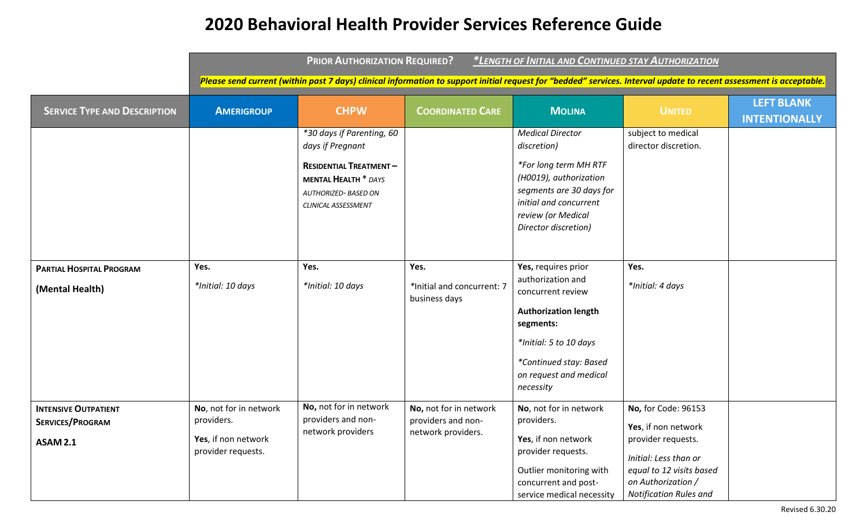|                                                                           | <b>PRIOR AUTHORIZATION REQUIRED?</b><br>*LENGTH OF INITIAL AND CONTINUED STAY AUTHORIZATION |                                                                                                                                       |                                                                    |                                                                                                                                                                                                      |                                                                                                                                                                              |                                           |  |
|---------------------------------------------------------------------------|---------------------------------------------------------------------------------------------|---------------------------------------------------------------------------------------------------------------------------------------|--------------------------------------------------------------------|------------------------------------------------------------------------------------------------------------------------------------------------------------------------------------------------------|------------------------------------------------------------------------------------------------------------------------------------------------------------------------------|-------------------------------------------|--|
|                                                                           |                                                                                             |                                                                                                                                       |                                                                    | Please send current (within past 7 days) clinical information to support initial request for "bedded" services. Interval update to recent assessment is acceptable.                                  |                                                                                                                                                                              |                                           |  |
| <b>SERVICE TYPE AND DESCRIPTION</b>                                       | <b>AMERIGROUP</b>                                                                           | <b>CHPW</b>                                                                                                                           | <b>COORDINATED CARE</b>                                            | <b>MOLINA</b>                                                                                                                                                                                        | <b>UNITED</b>                                                                                                                                                                | <b>LEFT BLANK</b><br><b>INTENTIONALLY</b> |  |
|                                                                           |                                                                                             | *30 days if Parenting, 60<br>days if Pregnant<br><b>RESIDENTIAL TREATMENT-</b><br><b>MENTAL HEALTH * DAYS</b><br>AUTHORIZED- BASED ON |                                                                    | <b>Medical Director</b><br>discretion)<br>*For long term MH RTF<br>(H0019), authorization<br>segments are 30 days for<br>initial and concurrent                                                      | subject to medical<br>director discretion.                                                                                                                                   |                                           |  |
|                                                                           |                                                                                             | CLINICAL ASSESSMENT                                                                                                                   |                                                                    | review (or Medical<br>Director discretion)                                                                                                                                                           |                                                                                                                                                                              |                                           |  |
| <b>PARTIAL HOSPITAL PROGRAM</b><br>(Mental Health)                        | Yes.<br>*Initial: 10 days                                                                   | Yes.<br>*Initial: 10 days                                                                                                             | Yes.<br>*Initial and concurrent: 7<br>business days                | Yes, requires prior<br>authorization and<br>concurrent review<br><b>Authorization length</b><br>segments:<br>*Initial: 5 to 10 days<br>*Continued stay: Based<br>on request and medical<br>necessity | Yes.<br>*Initial: 4 days                                                                                                                                                     |                                           |  |
| <b>INTENSIVE OUTPATIENT</b><br><b>SERVICES/PROGRAM</b><br><b>ASAM 2.1</b> | No, not for in network<br>providers.<br>Yes, if non network<br>provider requests.           | No, not for in network<br>providers and non-<br>network providers                                                                     | No, not for in network<br>providers and non-<br>network providers. | No, not for in network<br>providers.<br>Yes, if non network<br>provider requests.<br>Outlier monitoring with<br>concurrent and post-<br>service medical necessity                                    | No, for Code: 96153<br>Yes, if non network<br>provider requests.<br>Initial: Less than or<br>equal to 12 visits based<br>on Authorization /<br><b>Notification Rules and</b> |                                           |  |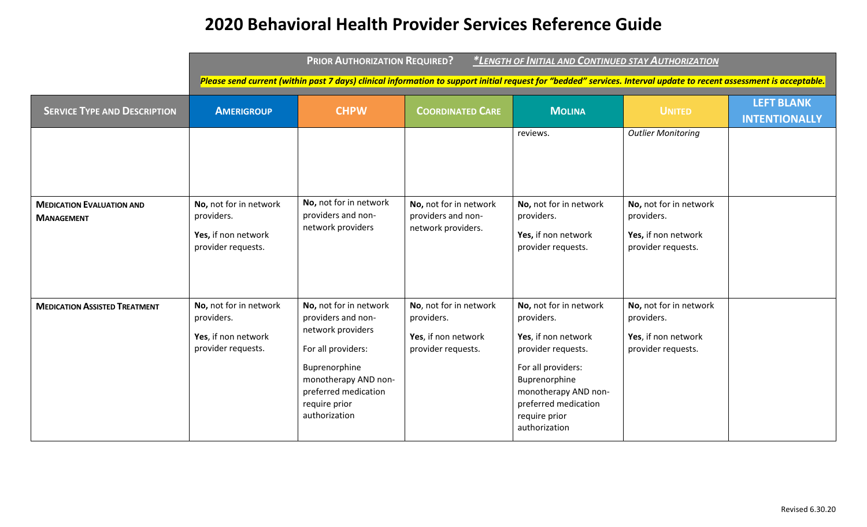|                                                       | <b>PRIOR AUTHORIZATION REQUIRED?</b><br>*LENGTH OF INITIAL AND CONTINUED STAY AUTHORIZATION<br>Please send current (within past 7 days) clinical information to support initial request for "bedded" services. Interval update to recent assessment is acceptable. |                                                                                                                                                                                            |                                                                                   |                                                                                                                                                                                                            |                                                                                   |                                           |  |
|-------------------------------------------------------|--------------------------------------------------------------------------------------------------------------------------------------------------------------------------------------------------------------------------------------------------------------------|--------------------------------------------------------------------------------------------------------------------------------------------------------------------------------------------|-----------------------------------------------------------------------------------|------------------------------------------------------------------------------------------------------------------------------------------------------------------------------------------------------------|-----------------------------------------------------------------------------------|-------------------------------------------|--|
| <b>SERVICE TYPE AND DESCRIPTION</b>                   | <b>AMERIGROUP</b>                                                                                                                                                                                                                                                  | <b>CHPW</b>                                                                                                                                                                                | <b>COORDINATED CARE</b>                                                           | <b>MOLINA</b>                                                                                                                                                                                              | <b>UNITED</b>                                                                     | <b>LEFT BLANK</b><br><b>INTENTIONALLY</b> |  |
|                                                       |                                                                                                                                                                                                                                                                    |                                                                                                                                                                                            |                                                                                   | reviews.                                                                                                                                                                                                   | <b>Outlier Monitoring</b>                                                         |                                           |  |
| <b>MEDICATION EVALUATION AND</b><br><b>MANAGEMENT</b> | No, not for in network<br>providers.<br>Yes, if non network<br>provider requests.                                                                                                                                                                                  | No, not for in network<br>providers and non-<br>network providers                                                                                                                          | No, not for in network<br>providers and non-<br>network providers.                | No, not for in network<br>providers.<br>Yes, if non network<br>provider requests.                                                                                                                          | No, not for in network<br>providers.<br>Yes, if non network<br>provider requests. |                                           |  |
| <b>MEDICATION ASSISTED TREATMENT</b>                  | No, not for in network<br>providers.<br>Yes, if non network<br>provider requests.                                                                                                                                                                                  | No, not for in network<br>providers and non-<br>network providers<br>For all providers:<br>Buprenorphine<br>monotherapy AND non-<br>preferred medication<br>require prior<br>authorization | No, not for in network<br>providers.<br>Yes, if non network<br>provider requests. | No, not for in network<br>providers.<br>Yes, if non network<br>provider requests.<br>For all providers:<br>Buprenorphine<br>monotherapy AND non-<br>preferred medication<br>require prior<br>authorization | No, not for in network<br>providers.<br>Yes, if non network<br>provider requests. |                                           |  |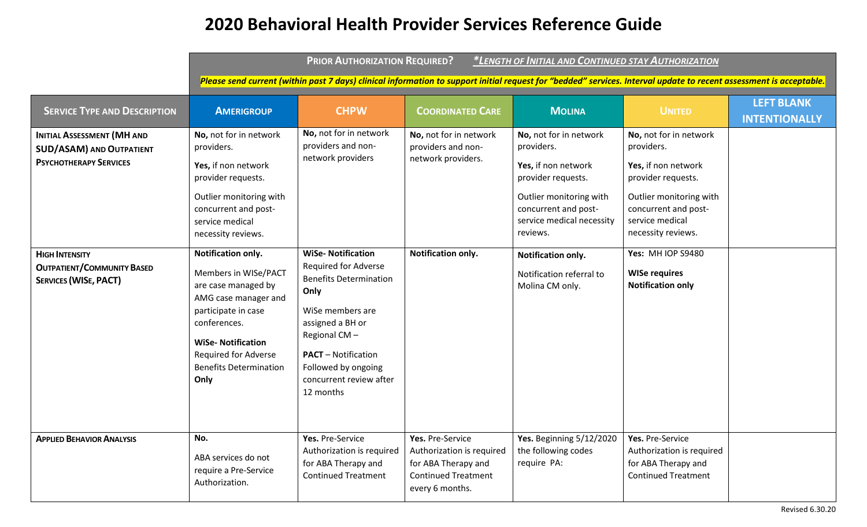|                                                                                                       | <b>PRIOR AUTHORIZATION REQUIRED?</b><br>*LENGTH OF INITIAL AND CONTINUED STAY AUTHORIZATION                                                                                                                                          |                                                                                                                                                                                                                                                        |                                                                                                                       |                                                                                                                                                                               |                                                                                                                                                                               |                                           |  |
|-------------------------------------------------------------------------------------------------------|--------------------------------------------------------------------------------------------------------------------------------------------------------------------------------------------------------------------------------------|--------------------------------------------------------------------------------------------------------------------------------------------------------------------------------------------------------------------------------------------------------|-----------------------------------------------------------------------------------------------------------------------|-------------------------------------------------------------------------------------------------------------------------------------------------------------------------------|-------------------------------------------------------------------------------------------------------------------------------------------------------------------------------|-------------------------------------------|--|
|                                                                                                       |                                                                                                                                                                                                                                      |                                                                                                                                                                                                                                                        |                                                                                                                       | Please send current (within past 7 days) clinical information to support initial request for "bedded" services. Interval update to recent assessment is acceptable.           |                                                                                                                                                                               |                                           |  |
| <b>SERVICE TYPE AND DESCRIPTION</b>                                                                   | <b>AMERIGROUP</b>                                                                                                                                                                                                                    | <b>CHPW</b>                                                                                                                                                                                                                                            | <b>COORDINATED CARE</b>                                                                                               | <b>MOLINA</b>                                                                                                                                                                 | <b>UNITED</b>                                                                                                                                                                 | <b>LEFT BLANK</b><br><b>INTENTIONALLY</b> |  |
| <b>INITIAL ASSESSMENT (MH AND</b><br><b>SUD/ASAM) AND OUTPATIENT</b><br><b>PSYCHOTHERAPY SERVICES</b> | No, not for in network<br>providers.<br>Yes, if non network<br>provider requests.<br>Outlier monitoring with<br>concurrent and post-<br>service medical<br>necessity reviews.                                                        | No, not for in network<br>providers and non-<br>network providers                                                                                                                                                                                      | No, not for in network<br>providers and non-<br>network providers.                                                    | No, not for in network<br>providers.<br>Yes, if non network<br>provider requests.<br>Outlier monitoring with<br>concurrent and post-<br>service medical necessity<br>reviews. | No, not for in network<br>providers.<br>Yes, if non network<br>provider requests.<br>Outlier monitoring with<br>concurrent and post-<br>service medical<br>necessity reviews. |                                           |  |
| <b>HIGH INTENSITY</b><br><b>OUTPATIENT/COMMUNITY BASED</b><br><b>SERVICES (WISE, PACT)</b>            | Notification only.<br>Members in WISe/PACT<br>are case managed by<br>AMG case manager and<br>participate in case<br>conferences.<br><b>WiSe-Notification</b><br><b>Required for Adverse</b><br><b>Benefits Determination</b><br>Only | <b>WiSe- Notification</b><br><b>Required for Adverse</b><br><b>Benefits Determination</b><br>Only<br>WiSe members are<br>assigned a BH or<br>Regional CM-<br><b>PACT</b> - Notification<br>Followed by ongoing<br>concurrent review after<br>12 months | Notification only.                                                                                                    | Notification only.<br>Notification referral to<br>Molina CM only.                                                                                                             | <b>Yes: MH IOP S9480</b><br><b>WISe requires</b><br><b>Notification only</b>                                                                                                  |                                           |  |
| <b>APPLIED BEHAVIOR ANALYSIS</b>                                                                      | No.<br>ABA services do not<br>require a Pre-Service<br>Authorization.                                                                                                                                                                | Yes. Pre-Service<br>Authorization is required<br>for ABA Therapy and<br><b>Continued Treatment</b>                                                                                                                                                     | Yes. Pre-Service<br>Authorization is required<br>for ABA Therapy and<br><b>Continued Treatment</b><br>every 6 months. | Yes. Beginning 5/12/2020<br>the following codes<br>require PA:                                                                                                                | Yes. Pre-Service<br>Authorization is required<br>for ABA Therapy and<br><b>Continued Treatment</b>                                                                            |                                           |  |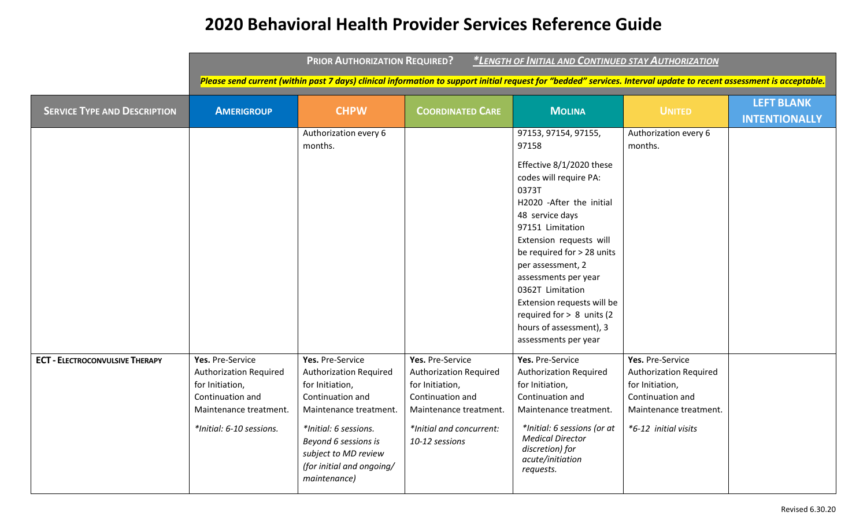|                                        | <b>PRIOR AUTHORIZATION REQUIRED?</b><br>*LENGTH OF INITIAL AND CONTINUED STAY AUTHORIZATION                                                    |                                                                                                                                                                                                                                          |                                                                                                                                                                  |                                                                                                                                                                                                                                                                                                                                                                                                            |                                                                                                                                            |                                           |  |  |
|----------------------------------------|------------------------------------------------------------------------------------------------------------------------------------------------|------------------------------------------------------------------------------------------------------------------------------------------------------------------------------------------------------------------------------------------|------------------------------------------------------------------------------------------------------------------------------------------------------------------|------------------------------------------------------------------------------------------------------------------------------------------------------------------------------------------------------------------------------------------------------------------------------------------------------------------------------------------------------------------------------------------------------------|--------------------------------------------------------------------------------------------------------------------------------------------|-------------------------------------------|--|--|
|                                        |                                                                                                                                                |                                                                                                                                                                                                                                          |                                                                                                                                                                  | Please send current (within past 7 days) clinical information to support initial request for "bedded" services. Interval update to recent assessment is acceptable.                                                                                                                                                                                                                                        |                                                                                                                                            |                                           |  |  |
| <b>SERVICE TYPE AND DESCRIPTION</b>    | <b>AMERIGROUP</b>                                                                                                                              | <b>CHPW</b>                                                                                                                                                                                                                              | <b>COORDINATED CARE</b>                                                                                                                                          | <b>MOLINA</b>                                                                                                                                                                                                                                                                                                                                                                                              | <b>UNITED</b>                                                                                                                              | <b>LEFT BLANK</b><br><b>INTENTIONALLY</b> |  |  |
|                                        |                                                                                                                                                | Authorization every 6<br>months.                                                                                                                                                                                                         |                                                                                                                                                                  | 97153, 97154, 97155,<br>97158<br>Effective 8/1/2020 these<br>codes will require PA:<br>0373T<br>H2020 - After the initial<br>48 service days<br>97151 Limitation<br>Extension requests will<br>be required for > 28 units<br>per assessment, 2<br>assessments per year<br>0362T Limitation<br>Extension requests will be<br>required for $> 8$ units (2<br>hours of assessment), 3<br>assessments per year | Authorization every 6<br>months.                                                                                                           |                                           |  |  |
| <b>ECT - ELECTROCONVULSIVE THERAPY</b> | Yes. Pre-Service<br><b>Authorization Required</b><br>for Initiation,<br>Continuation and<br>Maintenance treatment.<br>*Initial: 6-10 sessions. | Yes. Pre-Service<br><b>Authorization Required</b><br>for Initiation,<br>Continuation and<br>Maintenance treatment.<br>*Initial: 6 sessions.<br>Beyond 6 sessions is<br>subject to MD review<br>(for initial and ongoing/<br>maintenance) | Yes. Pre-Service<br><b>Authorization Required</b><br>for Initiation,<br>Continuation and<br>Maintenance treatment.<br>*Initial and concurrent:<br>10-12 sessions | Yes. Pre-Service<br><b>Authorization Required</b><br>for Initiation,<br>Continuation and<br>Maintenance treatment.<br>*Initial: 6 sessions (or at<br><b>Medical Director</b><br>discretion) for<br>acute/initiation<br>requests.                                                                                                                                                                           | Yes. Pre-Service<br><b>Authorization Required</b><br>for Initiation,<br>Continuation and<br>Maintenance treatment.<br>*6-12 initial visits |                                           |  |  |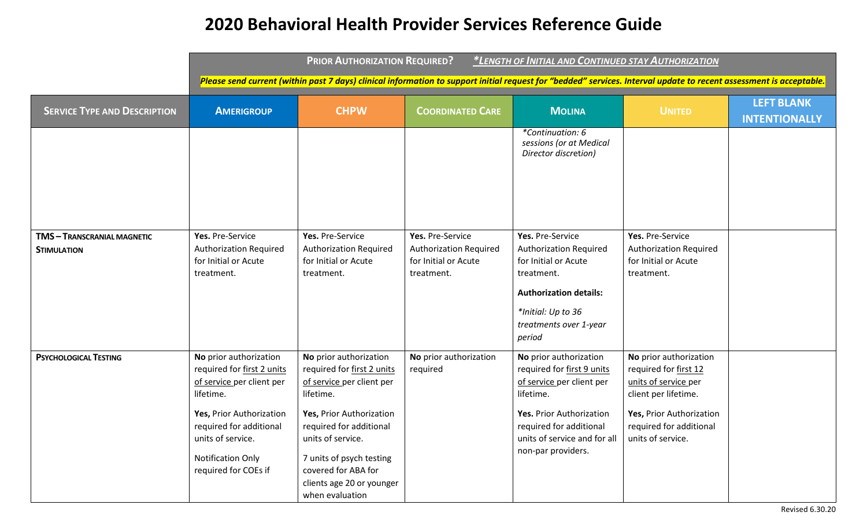|                                                        | <b>PRIOR AUTHORIZATION REQUIRED?</b><br>*LENGTH OF INITIAL AND CONTINUED STAY AUTHORIZATION                                                                                                                                    |                                                                                                                                                                                                                                                                               |                                                                           |                                                                                                                                                                                                                                      |                                                                                                                                                        |                                           |  |  |
|--------------------------------------------------------|--------------------------------------------------------------------------------------------------------------------------------------------------------------------------------------------------------------------------------|-------------------------------------------------------------------------------------------------------------------------------------------------------------------------------------------------------------------------------------------------------------------------------|---------------------------------------------------------------------------|--------------------------------------------------------------------------------------------------------------------------------------------------------------------------------------------------------------------------------------|--------------------------------------------------------------------------------------------------------------------------------------------------------|-------------------------------------------|--|--|
|                                                        |                                                                                                                                                                                                                                |                                                                                                                                                                                                                                                                               |                                                                           | Please send current (within past 7 days) clinical information to support initial request for "bedded" services. Interval update to recent assessment is acceptable.                                                                  |                                                                                                                                                        |                                           |  |  |
| <b>SERVICE TYPE AND DESCRIPTION</b>                    | <b>AMERIGROUP</b>                                                                                                                                                                                                              | <b>CHPW</b>                                                                                                                                                                                                                                                                   | <b>COORDINATED CARE</b>                                                   | <b>MOLINA</b>                                                                                                                                                                                                                        | <b>UNITED</b>                                                                                                                                          | <b>LEFT BLANK</b><br><b>INTENTIONALLY</b> |  |  |
|                                                        |                                                                                                                                                                                                                                |                                                                                                                                                                                                                                                                               |                                                                           | *Continuation: 6<br>sessions (or at Medical<br>Director discretion)                                                                                                                                                                  |                                                                                                                                                        |                                           |  |  |
| <b>TMS-TRANSCRANIAL MAGNETIC</b><br><b>STIMULATION</b> | Yes. Pre-Service<br><b>Authorization Required</b><br>for Initial or Acute                                                                                                                                                      | Yes. Pre-Service<br><b>Authorization Required</b><br>for Initial or Acute                                                                                                                                                                                                     | Yes. Pre-Service<br><b>Authorization Required</b><br>for Initial or Acute | Yes. Pre-Service<br><b>Authorization Required</b><br>for Initial or Acute                                                                                                                                                            | Yes. Pre-Service<br><b>Authorization Required</b><br>for Initial or Acute                                                                              |                                           |  |  |
|                                                        | treatment.                                                                                                                                                                                                                     | treatment.                                                                                                                                                                                                                                                                    | treatment.                                                                | treatment.<br><b>Authorization details:</b><br>*Initial: Up to 36<br>treatments over 1-year<br>period                                                                                                                                | treatment.                                                                                                                                             |                                           |  |  |
| <b>PSYCHOLOGICAL TESTING</b>                           | No prior authorization<br>required for first 2 units<br>of service per client per<br>lifetime.<br>Yes, Prior Authorization<br>required for additional<br>units of service.<br><b>Notification Only</b><br>required for COEs if | No prior authorization<br>required for first 2 units<br>of service per client per<br>lifetime.<br>Yes, Prior Authorization<br>required for additional<br>units of service.<br>7 units of psych testing<br>covered for ABA for<br>clients age 20 or younger<br>when evaluation | No prior authorization<br>required                                        | No prior authorization<br>required for first 9 units<br>of service per client per<br>lifetime.<br>Yes. Prior Authorization<br>required for additional<br>units of service and for all $\mid$ units of service.<br>non-par providers. | No prior authorization<br>required for first 12<br>units of service per<br>client per lifetime.<br>Yes, Prior Authorization<br>required for additional |                                           |  |  |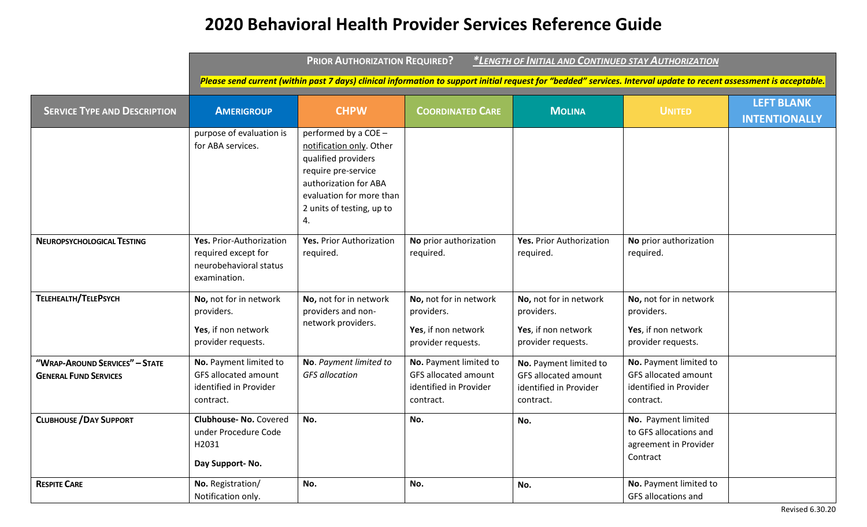|                                                                | <b>PRIOR AUTHORIZATION REQUIRED?</b><br>*LENGTH OF INITIAL AND CONTINUED STAY AUTHORIZATION  |                                                                                                                                                                                        |                                                                                       |                                                                                                                                                                     |                                                                                              |                                           |  |  |
|----------------------------------------------------------------|----------------------------------------------------------------------------------------------|----------------------------------------------------------------------------------------------------------------------------------------------------------------------------------------|---------------------------------------------------------------------------------------|---------------------------------------------------------------------------------------------------------------------------------------------------------------------|----------------------------------------------------------------------------------------------|-------------------------------------------|--|--|
|                                                                |                                                                                              |                                                                                                                                                                                        |                                                                                       | Please send current (within past 7 days) clinical information to support initial request for "bedded" services. Interval update to recent assessment is acceptable. |                                                                                              |                                           |  |  |
| <b>SERVICE TYPE AND DESCRIPTION</b>                            | <b>AMERIGROUP</b>                                                                            | <b>CHPW</b>                                                                                                                                                                            | <b>COORDINATED CARE</b>                                                               | <b>MOLINA</b>                                                                                                                                                       | <b>UNITED</b>                                                                                | <b>LEFT BLANK</b><br><b>INTENTIONALLY</b> |  |  |
|                                                                | purpose of evaluation is<br>for ABA services.                                                | performed by a COE -<br>notification only. Other<br>qualified providers<br>require pre-service<br>authorization for ABA<br>evaluation for more than<br>2 units of testing, up to<br>4. |                                                                                       |                                                                                                                                                                     |                                                                                              |                                           |  |  |
| <b>NEUROPSYCHOLOGICAL TESTING</b>                              | Yes. Prior-Authorization<br>required except for<br>neurobehavioral status<br>examination.    | Yes. Prior Authorization<br>required.                                                                                                                                                  | No prior authorization<br>required.                                                   | Yes. Prior Authorization<br>required.                                                                                                                               | No prior authorization<br>required.                                                          |                                           |  |  |
| TELEHEALTH/TELEPSYCH                                           | No, not for in network<br>providers.<br>Yes, if non network<br>provider requests.            | No, not for in network<br>providers and non-<br>network providers.                                                                                                                     | No, not for in network<br>providers.<br>Yes, if non network<br>provider requests.     | No, not for in network<br>providers.<br>Yes, if non network<br>provider requests.                                                                                   | No, not for in network<br>providers.<br>Yes, if non network<br>provider requests.            |                                           |  |  |
| "WRAP-AROUND SERVICES" - STATE<br><b>GENERAL FUND SERVICES</b> | No. Payment limited to<br><b>GFS allocated amount</b><br>identified in Provider<br>contract. | No. Payment limited to<br><b>GFS</b> allocation                                                                                                                                        | No. Payment limited to<br>GFS allocated amount<br>identified in Provider<br>contract. | No. Payment limited to<br>GFS allocated amount<br>identified in Provider<br>contract.                                                                               | No. Payment limited to<br><b>GFS allocated amount</b><br>identified in Provider<br>contract. |                                           |  |  |
| <b>CLUBHOUSE / DAY SUPPORT</b>                                 | <b>Clubhouse-No. Covered</b><br>under Procedure Code<br>H2031<br>Day Support-No.             | No.                                                                                                                                                                                    | No.                                                                                   | No.                                                                                                                                                                 | No. Payment limited<br>to GFS allocations and<br>agreement in Provider<br>Contract           |                                           |  |  |
| <b>RESPITE CARE</b>                                            | No. Registration/<br>Notification only.                                                      | No.                                                                                                                                                                                    | No.                                                                                   | No.                                                                                                                                                                 | No. Payment limited to<br><b>GFS allocations and</b>                                         |                                           |  |  |